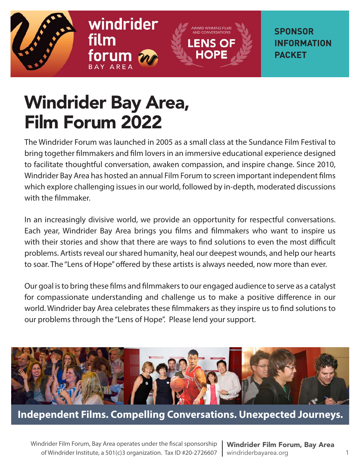





**SPONSOR INFORMATION PACKET**

# Windrider Bay Area, Film Forum 2022

The Windrider Forum was launched in 2005 as a small class at the Sundance Film Festival to bring together filmmakers and film lovers in an immersive educational experience designed to facilitate thoughtful conversation, awaken compassion, and inspire change. Since 2010, Windrider Bay Area has hosted an annual Film Forum to screen important independent films which explore challenging issues in our world, followed by in-depth, moderated discussions with the filmmaker.

In an increasingly divisive world, we provide an opportunity for respectful conversations. Each year, Windrider Bay Area brings you films and filmmakers who want to inspire us with their stories and show that there are ways to find solutions to even the most difficult problems. Artists reveal our shared humanity, heal our deepest wounds, and help our hearts to soar. The "Lens of Hope" offered by these artists is always needed, now more than ever.

Our goal is to bring these films and filmmakers to our engaged audience to serve as a catalyst for compassionate understanding and challenge us to make a positive difference in our world. Windrider bay Area celebrates these filmmakers as they inspire us to find solutions to our problems through the "Lens of Hope". Please lend your support.



**Independent Films. Compelling Conversations. Unexpected Journeys.**

Windrider Film Forum, Bay Area operates under the fiscal sponsorship of Windrider Institute, a 501(c)3 organization. Tax ID #20-2726607

Windrider Film Forum, Bay Area windriderbayarea.org 1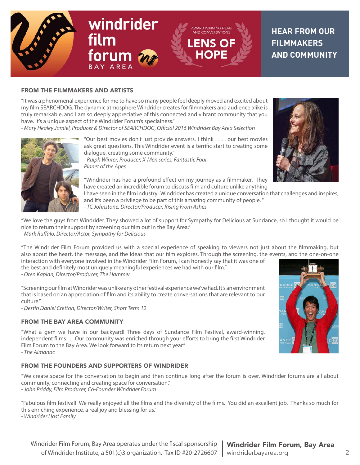

#### FROM THE FILMMAKERS AND ARTISTS

"It was a phenomenal experience for me to have so many people feel deeply moved and excited about my film SEARCHDOG. The dynamic atmosphere Windrider creates for filmmakers and audience alike is truly remarkable, and I am so deeply appreciative of this connected and vibrant community that you have. It's a unique aspect of the Windrider Forum's specialness."

*- Mary Healey Jamiel, Producer & Director of SEARCHDOG, Official 2016 Windrider Bay Area Selection*



"Our best movies don't just provide answers. I think . . . . our best movies ask great questions. This Windrider event is a terrific start to creating some dialogue, creating some community."

*- Ralph Winter, Producer, X-Men series, Fantastic Four, Planet of the Apes*

"Windrider has had a profound effect on my journey as a filmmaker. They have created an incredible forum to discuss film and culture unlike anything

I have seen in the film industry. Windrider has created a unique conversation that challenges and inspires, and it's been a privilege to be part of this amazing community of people. "

*- TC Johnstone, Director/Producer, Rising From Ashes*

"We love the guys from Windrider. They showed a lot of support for Sympathy for Delicious at Sundance, so I thought it would be nice to return their support by screening our film out in the Bay Area."

*- Mark Ruffalo, Director/Actor, Sympathy for Delicious*

"The Windrider Film Forum provided us with a special experience of speaking to viewers not just about the filmmaking, but also about the heart, the message, and the ideas that our film explores. Through the screening, the events, and the one-on-one

interaction with everyone involved in the Windrider Film Forum, I can honestly say that it was one of the best and definitely most uniquely meaningful experiences we had with our film." *- Oren Kaplan, Director/Producer, The Hammer* 

"Screening our film at Windrider was unlike any other festival experience we've had. It's an environment that is based on an appreciation of film and its ability to create conversations that are relevant to our culture."

*- Destin Daniel Cretton, Director/Writer, Short Term 12*

#### FROM THE BAY AREA COMMUNITY

"What a gem we have in our backyard! Three days of Sundance Film Festival, award-winning, independent films . . . Our community was enriched through your efforts to bring the first Windrider Film Forum to the Bay Area. We look forward to its return next year." *- The Almanac*

#### FROM THE FOUNDERS AND SUPPORTERS OF WINDRIDER

"We create space for the conversation to begin and then continue long after the forum is over. Windrider forums are all about community, connecting and creating space for conversation."

*- John Priddy, Film Producer, Co-Founder Windrider Forum*

"Fabulous film festival! We really enjoyed all the films and the diversity of the films. You did an excellent job. Thanks so much for this enriching experience, a real joy and blessing for us."

*- Windrider Host Family*



Windrider Film Forum, Bay Area operates under the fiscal sponsorship **Nindrider Film Forum, Bay Area** of Windrider Institute, a 501(c)3 organization. Tax ID #20-2726607 | windriderbayarea.org 2